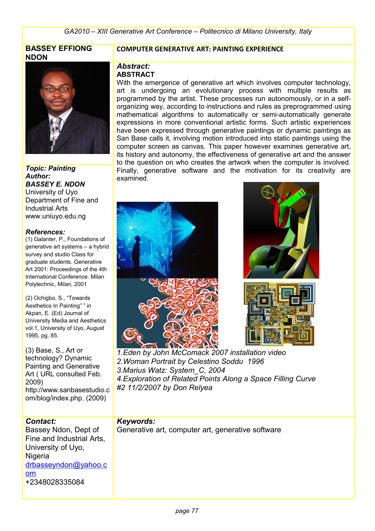### **BASSEY EFFIONG NDON**



*Topic: Painting Author: BASSEY E. NDON* University of Uyo Department of Fine and Industrial Arts www.uniuyo.edu.ng

#### *References:*

(1) Galanter, P., Foundations of generative art systems – a hybrid survey and studio Class for graduate students. Generative Art 2001: Proceedings of the 4th International Conference. Milan Polytechnic, Milan, 2001

(2) Ochigbo, S., "Towards Aesthetics In Painting" " in Akpan, E. (Ed) Journal of University Media and Aesthetics vol.1, University of Uyo, August 1995, pg. 85.

(3) Base, S., Art or technology? Dynamic Painting and Generative Art ( URL consulted Feb. 2009) http://www.sanbasestudio.c om/blog/index.php. (2009)

#### **COMPUTER GENERATIVE ART: PAINTING EXPERIENCE**

#### *Abstract:* **ABSTRACT**

With the emergence of generative art which involves computer technology, art is undergoing an evolutionary process with multiple results as programmed by the artist. These processes run autonomously, or in a selforganizing way, according to instructions and rules as preprogrammed using mathematical algorithms to automatically or semi-automatically generate expressions in more conventional artistic forms. Such artistic experiences have been expressed through generative paintings or dynamic paintings as San Base calls it, involving motion introduced into static paintings using the computer screen as canvas. This paper however examines generative art, its history and autonomy, the effectiveness of generative art and the answer to the question on who creates the artwork when the computer is involved. Finally, generative software and the motivation for its creativity are examined.



*1.Eden by John McComack 2007 installation video 2.Woman Portrait by Celestino Soddu 1996 3.Marius Watz: System\_C, 2004 4.Exploration of Related Points Along a Space Filling Curve #2 11/2/2007 by Don Relyea*

### *Contact:* Bassey Ndon, Dept of Fine and Industrial Arts, University of Uyo, **Nigeria** [drbasseyndon@yahoo.c](mailto:drbasseyndon@yahoo.com) [om](mailto:drbasseyndon@yahoo.com) +2348028335084

### *Keywords:*

Generative art, computer art, generative software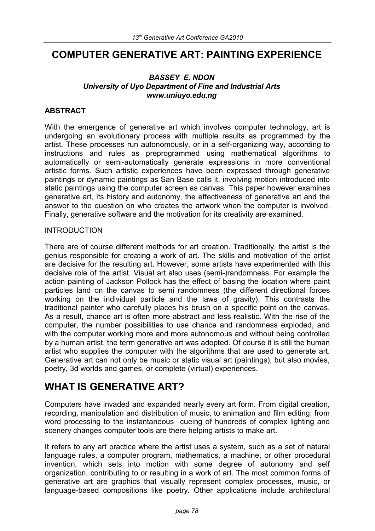# **COMPUTER GENERATIVE ART: PAINTING EXPERIENCE**

#### *BASSEY E. NDON University of Uyo Department of Fine and Industrial Arts www.uniuyo.edu.ng*

## **ABSTRACT**

With the emergence of generative art which involves computer technology, art is undergoing an evolutionary process with multiple results as programmed by the artist. These processes run autonomously, or in a self-organizing way, according to instructions and rules as preprogrammed using mathematical algorithms to automatically or semi-automatically generate expressions in more conventional artistic forms. Such artistic experiences have been expressed through generative paintings or dynamic paintings as San Base calls it, involving motion introduced into static paintings using the computer screen as canvas. This paper however examines generative art, its history and autonomy, the effectiveness of generative art and the answer to the question on who creates the artwork when the computer is involved. Finally, generative software and the motivation for its creativity are examined.

#### INTRODUCTION

There are of course different methods for art creation. Traditionally, the artist is the genius responsible for creating a work of art. The skills and motivation of the artist are decisive for the resulting art. However, some artists have experimented with this decisive role of the artist. Visual art also uses (semi-)randomness. For example the action painting of Jackson Pollock has the effect of basing the location where paint particles land on the canvas to semi randomness (the different directional forces working on the individual particle and the laws of gravity). This contrasts the traditional painter who carefully places his brush on a specific point on the canvas. As a result, chance art is often more abstract and less realistic. With the rise of the computer, the number possibilities to use chance and randomness exploded, and with the computer working more and more autonomous and without being controlled by a human artist, the term generative art was adopted. Of course it is still the human artist who supplies the computer with the algorithms that are used to generate art. Generative art can not only be music or static visual art (paintings), but also movies, poetry, 3d worlds and games, or complete (virtual) experiences.

# **WHAT IS GENERATIVE ART?**

Computers have invaded and expanded nearly every art form. From digital creation, recording, manipulation and distribution of music, to animation and film editing; from word processing to the instantaneous cueing of hundreds of complex lighting and scenery changes computer tools are there helping artists to make art.

It refers to any art practice where the artist uses a system, such as a set of natural language rules, a computer program, mathematics, a machine, or other procedural invention, which sets into motion with some degree of autonomy and self organization, contributing to or resulting in a work of art. The most common forms of generative art are graphics that visually represent complex processes, music, or language-based compositions like poetry. Other applications include architectural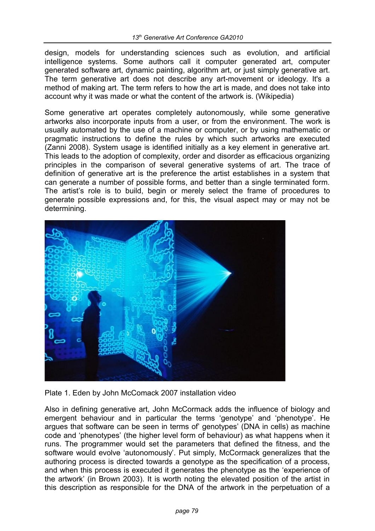design, models for understanding sciences such as evolution, and artificial intelligence systems. Some authors call it computer generated art, computer generated software art, dynamic painting, algorithm art, or just simply generative art. The term generative art does not describe any art-movement or ideology. It's a method of making art. The term refers to how the art is made, and does not take into account why it was made or what the content of the artwork is. (Wikipedia)

Some generative art operates completely autonomously, while some generative artworks also incorporate inputs from a user, or from the environment. The work is usually automated by the use of a machine or computer, or by using mathematic or pragmatic instructions to define the rules by which such artworks are executed (Zanni 2008). System usage is identified initially as a key element in generative art. This leads to the adoption of complexity, order and disorder as efficacious organizing principles in the comparison of several generative systems of art. The trace of definition of generative art is the preference the artist establishes in a system that can generate a number of possible forms, and better than a single terminated form. The artist's role is to build, begin or merely select the frame of procedures to generate possible expressions and, for this, the visual aspect may or may not be determining.



Plate 1. Eden by John McComack 2007 installation video

Also in defining generative art, John McCormack adds the influence of biology and emergent behaviour and in particular the terms 'genotype' and 'phenotype'. He argues that software can be seen in terms of' genotypes' (DNA in cells) as machine code and 'phenotypes' (the higher level form of behaviour) as what happens when it runs. The programmer would set the parameters that defined the fitness, and the software would evolve 'autonomously'. Put simply, McCormack generalizes that the authoring process is directed towards a genotype as the specification of a process, and when this process is executed it generates the phenotype as the 'experience of the artwork' (in Brown 2003). It is worth noting the elevated position of the artist in this description as responsible for the DNA of the artwork in the perpetuation of a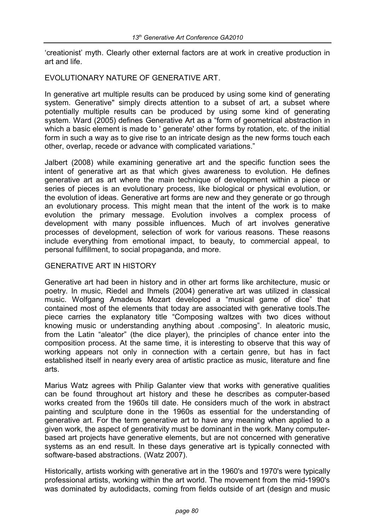'creationist' myth. Clearly other external factors are at work in creative production in art and life.

EVOLUTIONARY NATURE OF GENERATIVE ART.

In generative art multiple results can be produced by using some kind of generating system. Generative" simply directs attention to a subset of art, a subset where potentially multiple results can be produced by using some kind of generating system. Ward (2005) defines Generative Art as a "form of geometrical abstraction in which a basic element is made to ' generate' other forms by rotation, etc. of the initial form in such a way as to give rise to an intricate design as the new forms touch each other, overlap, recede or advance with complicated variations."

Jalbert (2008) while examining generative art and the specific function sees the intent of generative art as that which gives awareness to evolution. He defines generative art as art where the main technique of development within a piece or series of pieces is an evolutionary process, like biological or physical evolution, or the evolution of ideas. Generative art forms are new and they generate or go through an evolutionary process. This might mean that the intent of the work is to make evolution the primary message. Evolution involves a complex process of development with many possible influences. Much of art involves generative processes of development, selection of work for various reasons. These reasons include everything from emotional impact, to beauty, to commercial appeal, to personal fulfillment, to social propaganda, and more.

#### GENERATIVE ART IN HISTORY

Generative art had been in history and in other art forms like architecture, music or poetry. In music, Riedel and Ihmels (2004) generative art was utilized in classical music. Wolfgang Amadeus Mozart developed a "musical game of dice" that contained most of the elements that today are associated with generative tools.The piece carries the explanatory title "Composing waltzes with two dices without knowing music or understanding anything about .composing". In aleatoric music, from the Latin "aleator" (the dice player), the principles of chance enter into the composition process. At the same time, it is interesting to observe that this way of working appears not only in connection with a certain genre, but has in fact established itself in nearly every area of artistic practice as music, literature and fine arts.

Marius Watz agrees with Philip Galanter view that works with generative qualities can be found throughout art history and these he describes as computer-based works created from the 1960s till date. He considers much of the work in abstract painting and sculpture done in the 1960s as essential for the understanding of generative art. For the term generative art to have any meaning when applied to a given work, the aspect of generativity must be dominant in the work. Many computerbased art projects have generative elements, but are not concerned with generative systems as an end result. In these days generative art is typically connected with software-based abstractions. (Watz 2007).

Historically, artists working with generative art in the 1960's and 1970's were typically professional artists, working within the art world. The movement from the mid-1990's was dominated by autodidacts, coming from fields outside of art (design and music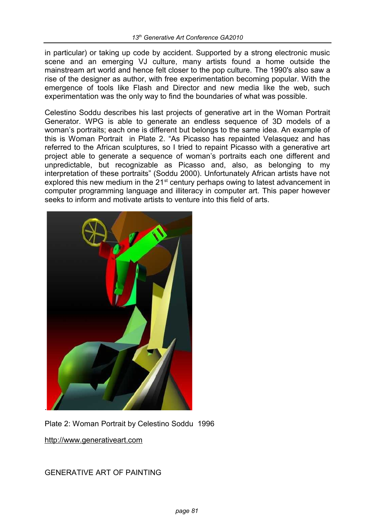in particular) or taking up code by accident. Supported by a strong electronic music scene and an emerging VJ culture, many artists found a home outside the mainstream art world and hence felt closer to the pop culture. The 1990's also saw a rise of the designer as author, with free experimentation becoming popular. With the emergence of tools like Flash and Director and new media like the web, such experimentation was the only way to find the boundaries of what was possible.

Celestino Soddu describes his last projects of generative art in the Woman Portrait Generator. WPG is able to generate an endless sequence of 3D models of a woman's portraits; each one is different but belongs to the same idea. An example of this is Woman Portrait in Plate 2. "As Picasso has repainted Velasquez and has referred to the African sculptures, so I tried to repaint Picasso with a generative art project able to generate a sequence of woman's portraits each one different and unpredictable, but recognizable as Picasso and, also, as belonging to my interpretation of these portraits" (Soddu 2000). Unfortunately African artists have not explored this new medium in the  $21<sup>st</sup>$  century perhaps owing to latest advancement in computer programming language and illiteracy in computer art. This paper however seeks to inform and motivate artists to venture into this field of arts.



Plate 2: Woman Portrait by Celestino Soddu 1996

[http://www.generativeart.com](http://www.generativeart.com/)

GENERATIVE ART OF PAINTING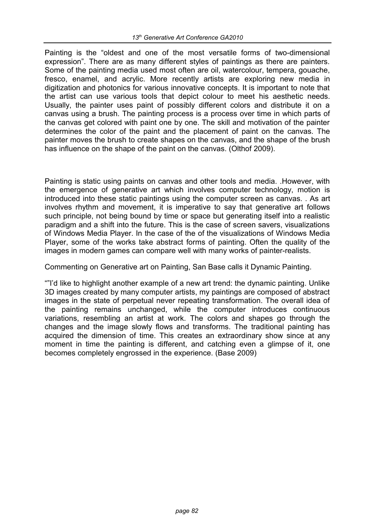Painting is the "oldest and one of the most versatile forms of two-dimensional expression". There are as many different styles of paintings as there are painters. Some of the painting media used most often are oil, watercolour, tempera, gouache, fresco, enamel, and acrylic. More recently artists are exploring new media in digitization and photonics for various innovative concepts. It is important to note that the artist can use various tools that depict colour to meet his aesthetic needs. Usually, the painter uses paint of possibly different colors and distribute it on a canvas using a brush. The painting process is a process over time in which parts of the canvas get colored with paint one by one. The skill and motivation of the painter determines the color of the paint and the placement of paint on the canvas. The painter moves the brush to create shapes on the canvas, and the shape of the brush has influence on the shape of the paint on the canvas. (Olthof 2009).

Painting is static using paints on canvas and other tools and media. .However, with the emergence of generative art which involves computer technology, motion is introduced into these static paintings using the computer screen as canvas. . As art involves rhythm and movement, it is imperative to say that generative art follows such principle, not being bound by time or space but generating itself into a realistic paradigm and a shift into the future. This is the case of screen savers, visualizations of Windows Media Player. In the case of the of the visualizations of Windows Media Player, some of the works take abstract forms of painting. Often the quality of the images in modern games can compare well with many works of painter-realists.

Commenting on Generative art on Painting, San Base calls it Dynamic Painting.

""I'd like to highlight another example of a new art trend: the dynamic painting. Unlike 3D images created by many computer artists, my paintings are composed of abstract images in the state of perpetual never repeating transformation. The overall idea of the painting remains unchanged, while the computer introduces continuous variations, resembling an artist at work. The colors and shapes go through the changes and the image slowly flows and transforms. The traditional painting has acquired the dimension of time. This creates an extraordinary show since at any moment in time the painting is different, and catching even a glimpse of it, one becomes completely engrossed in the experience. (Base 2009)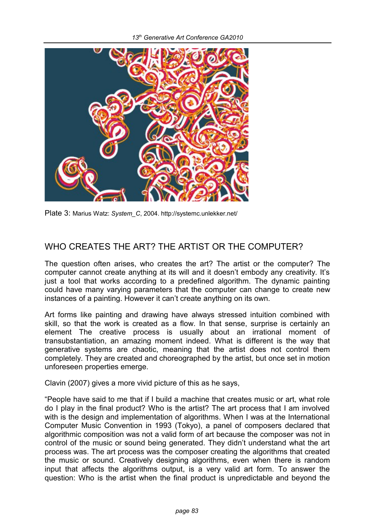

Plate 3: Marius Watz: System C, 2004. http://systemc.unlekker.net/

# WHO CREATES THE ART? THE ARTIST OR THE COMPUTER?

The question often arises, who creates the art? The artist or the computer? The computer cannot create anything at its will and it doesn't embody any creativity. It's just a tool that works according to a predefined algorithm. The dynamic painting could have many varying parameters that the computer can change to create new instances of a painting. However it can't create anything on its own.

Art forms like painting and drawing have always stressed intuition combined with skill, so that the work is created as a flow. In that sense, surprise is certainly an element The creative process is usually about an irrational moment of transubstantiation, an amazing moment indeed. What is different is the way that generative systems are chaotic, meaning that the artist does not control them completely. They are created and choreographed by the artist, but once set in motion unforeseen properties emerge.

Clavin (2007) gives a more vivid picture of this as he says,

"People have said to me that if I build a machine that creates music or art, what role do I play in the final product? Who is the artist? The art process that I am involved with is the design and implementation of algorithms. When I was at the International Computer Music Convention in 1993 (Tokyo), a panel of composers declared that algorithmic composition was not a valid form of art because the composer was not in control of the music or sound being generated. They didn't understand what the art process was. The art process was the composer creating the algorithms that created the music or sound. Creatively designing algorithms, even when there is random input that affects the algorithms output, is a very valid art form. To answer the question: Who is the artist when the final product is unpredictable and beyond the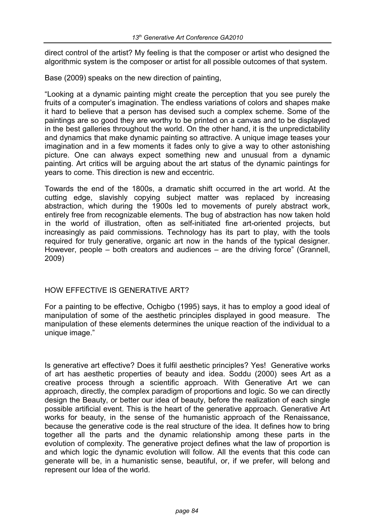direct control of the artist? My feeling is that the composer or artist who designed the algorithmic system is the composer or artist for all possible outcomes of that system.

Base (2009) speaks on the new direction of painting,

"Looking at a dynamic painting might create the perception that you see purely the fruits of a computer's imagination. The endless variations of colors and shapes make it hard to believe that a person has devised such a complex scheme. Some of the paintings are so good they are worthy to be printed on a canvas and to be displayed in the best galleries throughout the world. On the other hand, it is the unpredictability and dynamics that make dynamic painting so attractive. A unique image teases your imagination and in a few moments it fades only to give a way to other astonishing picture. One can always expect something new and unusual from a dynamic painting. Art critics will be arguing about the art status of the dynamic paintings for years to come. This direction is new and eccentric.

Towards the end of the 1800s, a dramatic shift occurred in the art world. At the cutting edge, slavishly copying subject matter was replaced by increasing abstraction, which during the 1900s led to movements of purely abstract work, entirely free from recognizable elements. The bug of abstraction has now taken hold in the world of illustration, often as self-initiated fine art-oriented projects, but increasingly as paid commissions. Technology has its part to play, with the tools required for truly generative, organic art now in the hands of the typical designer. However, people – both creators and audiences – are the driving force" (Grannell, 2009)

#### HOW EFFECTIVE IS GENERATIVE ART?

For a painting to be effective, Ochigbo (1995) says, it has to employ a good ideal of manipulation of some of the aesthetic principles displayed in good measure. The manipulation of these elements determines the unique reaction of the individual to a unique image."

Is generative art effective? Does it fulfil aesthetic principles? Yes! Generative works of art has aesthetic properties of beauty and idea. Soddu (2000) sees Art as a creative process through a scientific approach. With Generative Art we can approach, directly, the complex paradigm of proportions and logic. So we can directly design the Beauty, or better our idea of beauty, before the realization of each single possible artificial event. This is the heart of the generative approach. Generative Art works for beauty, in the sense of the humanistic approach of the Renaissance, because the generative code is the real structure of the idea. It defines how to bring together all the parts and the dynamic relationship among these parts in the evolution of complexity. The generative project defines what the law of proportion is and which logic the dynamic evolution will follow. All the events that this code can generate will be, in a humanistic sense, beautiful, or, if we prefer, will belong and represent our Idea of the world.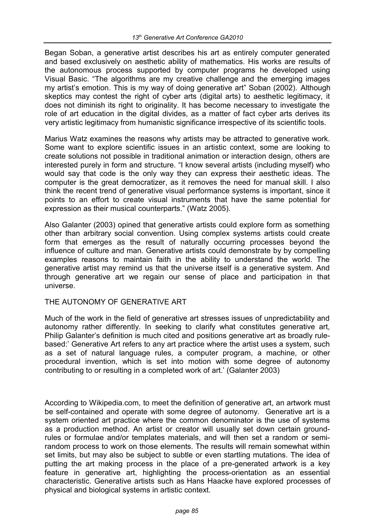Began Soban, a generative artist describes his art as entirely computer generated and based exclusively on aesthetic ability of mathematics. His works are results of the autonomous process supported by computer programs he developed using Visual Basic. "The algorithms are my creative challenge and the emerging images my artist's emotion. This is my way of doing generative art" Soban (2002). Although skeptics may contest the right of cyber arts (digital arts) to aesthetic legitimacy, it does not diminish its right to originality. It has become necessary to investigate the role of art education in the digital divides, as a matter of fact cyber arts derives its very artistic legitimacy from humanistic significance irrespective of its scientific tools.

Marius Watz examines the reasons why artists may be attracted to generative work. Some want to explore scientific issues in an artistic context, some are looking to create solutions not possible in traditional animation or interaction design, others are interested purely in form and structure. "I know several artists (including myself) who would say that code is the only way they can express their aesthetic ideas. The computer is the great democratizer, as it removes the need for manual skill. I also think the recent trend of generative visual performance systems is important, since it points to an effort to create visual instruments that have the same potential for expression as their musical counterparts." (Watz 2005).

Also Galanter (2003) opined that generative artists could explore form as something other than arbitrary social convention. Using complex systems artists could create form that emerges as the result of naturally occurring processes beyond the influence of culture and man. Generative artists could demonstrate by by compelling examples reasons to maintain faith in the ability to understand the world. The generative artist may remind us that the universe itself is a generative system. And through generative art we regain our sense of place and participation in that universe.

#### THE AUTONOMY OF GENERATIVE ART

Much of the work in the field of generative art stresses issues of unpredictability and autonomy rather differently. In seeking to clarify what constitutes generative art, Philip Galanter's definition is much cited and positions generative art as broadly rulebased:' Generative Art refers to any art practice where the artist uses a system, such as a set of natural language rules, a computer program, a machine, or other procedural invention, which is set into motion with some degree of autonomy contributing to or resulting in a completed work of art.' (Galanter 2003)

According to Wikipedia.com, to meet the definition of generative art, an artwork must be self-contained and operate with some degree of autonomy. Generative art is a system oriented art practice where the common denominator is the use of systems as a production method. An artist or creator will usually set down certain groundrules or formulae and/or templates materials, and will then set a random or semirandom process to work on those elements. The results will remain somewhat within set limits, but may also be subject to subtle or even startling mutations. The idea of putting the art making process in the place of a pre-generated artwork is a key feature in generative art, highlighting the process-orientation as an essential characteristic. Generative artists such as Hans Haacke have explored processes of physical and biological systems in artistic context.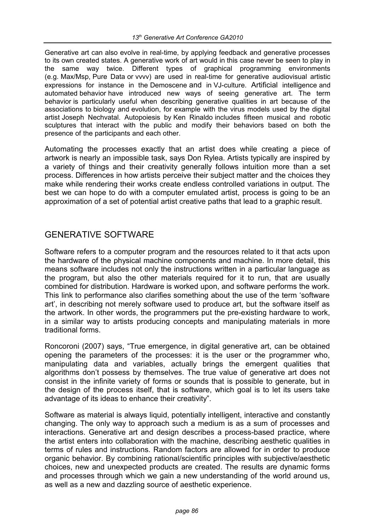Generative art can also evolve in real-time, by applying feedback and generative processes to its own created states. A generative work of art would in this case never be seen to play in the same way twice. Different types of graphical programming environments (e.g. Max/Msp, Pure Data or vvvv) are used in real-time for generative audiovisual artistic expressions for instance in the Demoscene and in VJ-culture. Artificial intelligence and automated behavior have introduced new ways of seeing generative art. The term behavior is particularly useful when describing generative qualities in art because of the associations to biology and evolution, for example with the virus models used by the digital artist Joseph Nechvatal. Autopoiesis by Ken Rinaldo includes fifteen musical and robotic sculptures that interact with the public and modify their behaviors based on both the presence of the participants and each other.

Automating the processes exactly that an artist does while creating a piece of artwork is nearly an impossible task, says Don Rylea. Artists typically are inspired by a variety of things and their creativity generally follows intuition more than a set process. Differences in how artists perceive their subject matter and the choices they make while rendering their works create endless controlled variations in output. The best we can hope to do with a computer emulated artist, process is going to be an approximation of a set of potential artist creative paths that lead to a graphic result.

## GENERATIVE SOFTWARE

Software refers to a computer program and the resources related to it that acts upon the hardware of the physical machine components and machine. In more detail, this means software includes not only the instructions written in a particular language as the program, but also the other materials required for it to run, that are usually combined for distribution. Hardware is worked upon, and software performs the work. This link to performance also clarifies something about the use of the term 'software art', in describing not merely software used to produce art, but the software itself as the artwork. In other words, the programmers put the pre-existing hardware to work, in a similar way to artists producing concepts and manipulating materials in more traditional forms.

Roncoroni (2007) says, "True emergence, in digital generative art, can be obtained opening the parameters of the processes: it is the user or the programmer who, manipulating data and variables, actually brings the emergent qualities that algorithms don't possess by themselves. The true value of generative art does not consist in the infinite variety of forms or sounds that is possible to generate, but in the design of the process itself, that is software, which goal is to let its users take advantage of its ideas to enhance their creativity".

Software as material is always liquid, potentially intelligent, interactive and constantly changing. The only way to approach such a medium is as a sum of processes and interactions. Generative art and design describes a process-based practice, where the artist enters into collaboration with the machine, describing aesthetic qualities in terms of rules and instructions. Random factors are allowed for in order to produce organic behavior. By combining rational/scientific principles with subjective/aesthetic choices, new and unexpected products are created. The results are dynamic forms and processes through which we gain a new understanding of the world around us, as well as a new and dazzling source of aesthetic experience.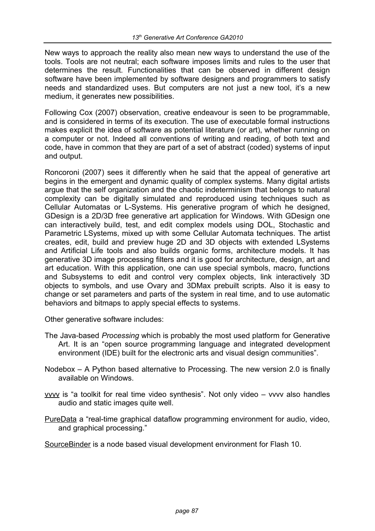New ways to approach the reality also mean new ways to understand the use of the tools. Tools are not neutral; each software imposes limits and rules to the user that determines the result. Functionalities that can be observed in different design software have been implemented by software designers and programmers to satisfy needs and standardized uses. But computers are not just a new tool, it's a new medium, it generates new possibilities.

Following Cox (2007) observation, creative endeavour is seen to be programmable, and is considered in terms of its execution. The use of executable formal instructions makes explicit the idea of software as potential literature (or art), whether running on a computer or not. Indeed all conventions of writing and reading, of both text and code, have in common that they are part of a set of abstract (coded) systems of input and output.

Roncoroni (2007) sees it differently when he said that the appeal of generative art begins in the emergent and dynamic quality of complex systems. Many digital artists argue that the self organization and the chaotic indeterminism that belongs to natural complexity can be digitally simulated and reproduced using techniques such as Cellular Automatas or L-Systems. His generative program of which he designed, GDesign is a 2D/3D free generative art application for Windows. With GDesign one can interactively build, test, and edit complex models using DOL, Stochastic and Parametric LSystems, mixed up with some Cellular Automata techniques. The artist creates, edit, build and preview huge 2D and 3D objects with extended LSystems and Artificial Life tools and also builds organic forms, architecture models. It has generative 3D image processing filters and it is good for architecture, design, art and art education. With this application, one can use special symbols, macro, functions and Subsystems to edit and control very complex objects, link interactively 3D objects to symbols, and use Ovary and 3DMax prebuilt scripts. Also it is easy to change or set parameters and parts of the system in real time, and to use automatic behaviors and bitmaps to apply special effects to systems.

Other generative software includes:

- The Java-based *Processing* which is probably the most used platform for Generative Art. It is an "open source programming language and integrated development environment (IDE) built for the electronic arts and visual design communities".
- Nodebox A Python based alternative to Processing. The new version 2.0 is finally available on Windows.
- vvvv is "a toolkit for real time video synthesis". Not only video vvvv also handles audio and static images quite well.
- PureData a "real-time graphical dataflow programming environment for audio, video, and graphical processing."

SourceBinder is a node based visual development environment for Flash 10.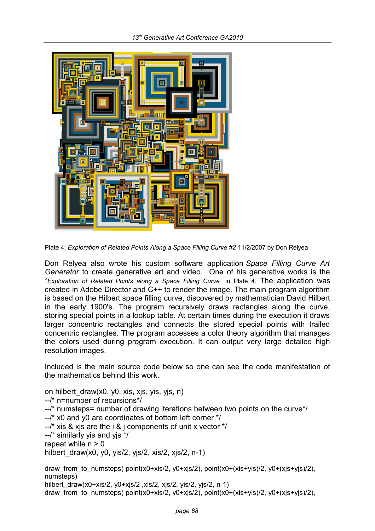

Plate 4: *Exploration of Related Points Along a Space Filling Curve #2* 11/2/2007 by Don Relyea

Don Relyea also wrote his custom software application *Space Filling Curve Art Generator* to create generative art and video. One of his generative works is the "*Exploration of Related Points along a Space Filling Curve"* in Plate 4. The application was created in Adobe Director and C++ to render the image. The main program algorithm is based on the Hilbert space filling curve, discovered by mathematician David Hilbert in the early 1900's. The program recursively draws rectangles along the curve, storing special points in a lookup table. At certain times during the execution it draws larger concentric rectangles and connects the stored special points with trailed concentric rectangles. The program accesses a color theory algorithm that manages the colors used during program execution. It can output very large detailed high resolution images.

Included is the main source code below so one can see the code manifestation of the mathematics behind this work.

on hilbert\_draw(x0, y0, xis, xjs, yis, yjs, n) --/\* n=number of recursions\*/

--/\* numsteps= number of drawing iterations between two points on the curve\*/

- --/\* x0 and y0 are coordinates of bottom left corner \*/
- $-$ /\* xis & xis are the i & i components of unit x vector  $\frac{*}{s}$
- --/\* similarly yis and yjs \*/

repeat while  $n > 0$ 

hilbert draw(x0, y0, yis/2, yjs/2, xis/2, xjs/2, n-1)

draw from to numsteps(  $point(x0+xis/2, y0+xjs/2)$ ,  $point(x0+(xis+yis)/2, y0+(xjs+yis)/2)$ , numsteps) hilbert\_draw(x0+xis/2, y0+xjs/2, xis/2, xjs/2, yis/2, yjs/2, n-1) draw\_from\_to\_numsteps( point(x0+xis/2, y0+xjs/2), point(x0+(xis+yis)/2, y0+(xjs+yjs)/2),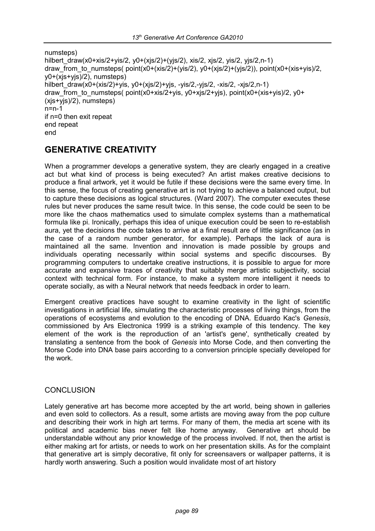numsteps) hilbert draw(x0+xis/2+yis/2, y0+(xjs/2)+(yjs/2), xis/2, xjs/2, yis/2, yjs/2,n-1) draw from to numsteps( $point(x0+(xis/2)+(yis/2), y0+(xis/2)+(yis/2))$ , point(x0+(xis+yis)/2, y0+(xjs+yjs)/2), numsteps) hilbert draw(x0+(xis/2)+yis, y0+(xjs/2)+yjs, -yis/2,-yjs/2, -xis/2, -xjs/2,n-1) draw from to numsteps( point(x0+xis/2+yis, y0+xjs/2+yjs), point(x0+(xis+yis)/2, y0+ (xjs+yjs)/2), numsteps) n=n-1 if n=0 then exit repeat end repeat end

## **GENERATIVE CREATIVITY**

When a programmer develops a generative system, they are clearly engaged in a creative act but what kind of process is being executed? An artist makes creative decisions to produce a final artwork, yet it would be futile if these decisions were the same every time. In this sense, the focus of creating generative art is not trying to achieve a balanced output, but to capture these decisions as logical structures. (Ward 2007). The computer executes these rules but never produces the same result twice. In this sense, the code could be seen to be more like the chaos mathematics used to simulate complex systems than a mathematical formula like pi. Ironically, perhaps this idea of unique execution could be seen to re-establish aura, yet the decisions the code takes to arrive at a final result are of little significance (as in the case of a random number generator, for example). Perhaps the lack of aura is maintained all the same. Invention and innovation is made possible by groups and individuals operating necessarily within social systems and specific discourses. By programming computers to undertake creative instructions, it is possible to argue for more accurate and expansive traces of creativity that suitably merge artistic subjectivity, social context with technical form. For instance, to make a system more intelligent it needs to operate socially, as with a Neural network that needs feedback in order to learn.

Emergent creative practices have sought to examine creativity in the light of scientific investigations in artificial life, simulating the characteristic processes of living things, from the operations of ecosystems and evolution to the encoding of DNA. Eduardo Kac's *Genesis*, commissioned by Ars Electronica 1999 is a striking example of this tendency. The key element of the work is the reproduction of an 'artist's gene', synthetically created by translating a sentence from the book of *Genesis* into Morse Code, and then converting the Morse Code into DNA base pairs according to a conversion principle specially developed for the work.

#### **CONCLUSION**

Lately generative art has become more accepted by the art world, being shown in galleries and even sold to collectors. As a result, some artists are moving away from the pop culture and describing their work in high art terms. For many of them, the media art scene with its political and academic bias never felt like home anyway. Generative art should be understandable without any prior knowledge of the process involved. If not, then the artist is either making art for artists, or needs to work on her presentation skills. As for the complaint that generative art is simply decorative, fit only for screensavers or wallpaper patterns, it is hardly worth answering. Such a position would invalidate most of art history